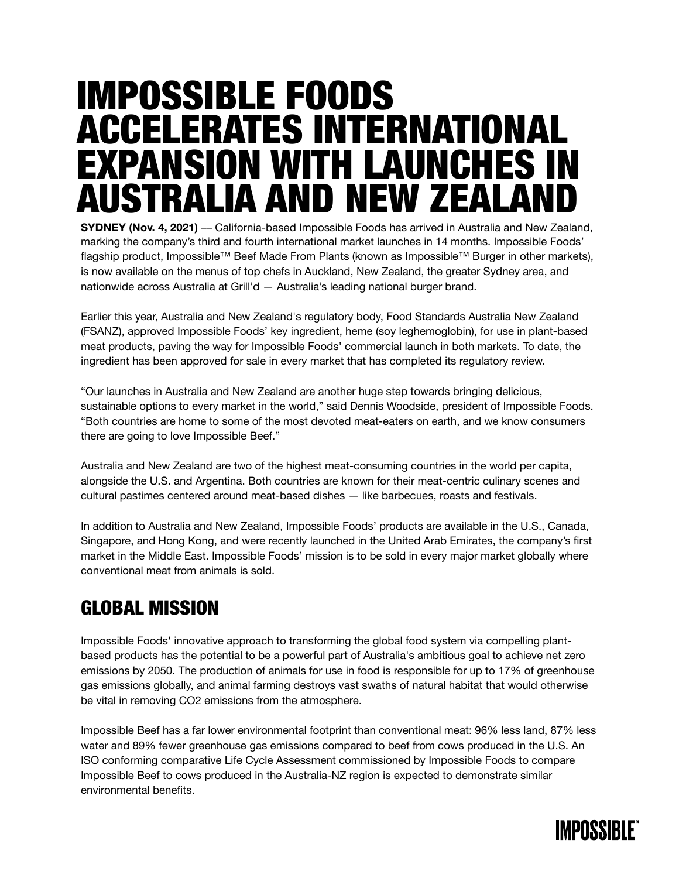# IMPOSSIBLE FOODS ACCELERATES INTERNATIONAL EXPANSION WITH LAUNCHES IN AUSTRALIA AND NEW ZEALAND

**SYDNEY (Nov. 4, 2021)** — California-based Impossible Foods has arrived in Australia and New Zealand, marking the company's third and fourth international market launches in 14 months. Impossible Foods' flagship product, Impossible™ Beef Made From Plants (known as Impossible™ Burger in other markets), is now available on the menus of top chefs in Auckland, New Zealand, the greater Sydney area, and nationwide across Australia at Grill'd — Australia's leading national burger brand.

Earlier this year, Australia and New Zealand's regulatory body, Food Standards Australia New Zealand (FSANZ), approved Impossible Foods' key ingredient, heme (soy leghemoglobin), for use in plant-based meat products, paving the way for Impossible Foods' commercial launch in both markets. To date, the ingredient has been approved for sale in every market that has completed its regulatory review.

"Our launches in Australia and New Zealand are another huge step towards bringing delicious, sustainable options to every market in the world," said Dennis Woodside, president of Impossible Foods. "Both countries are home to some of the most devoted meat-eaters on earth, and we know consumers there are going to love Impossible Beef."

Australia and New Zealand are two of the highest meat-consuming countries in the world per capita, alongside the U.S. and Argentina. Both countries are known for their meat-centric culinary scenes and cultural pastimes centered around meat-based dishes — like barbecues, roasts and festivals.

In addition to Australia and New Zealand, Impossible Foods' products are available in the U.S., Canada, Singapore, and Hong Kong, and were recently launched in [the United Arab Emirates](https://impossiblefoods.com/ae-en/media/news-releases/impossible-foods-expands-to-the-middle-east), the company's first market in the Middle East. Impossible Foods' mission is to be sold in every major market globally where conventional meat from animals is sold.

### GLOBAL MISSION

Impossible Foods' innovative approach to transforming the global food system via compelling plantbased products has the potential to be a powerful part of Australia's ambitious goal to achieve net zero emissions by 2050. The production of animals for use in food is responsible for up to 17% of greenhouse gas emissions globally, and animal farming destroys vast swaths of natural habitat that would otherwise be vital in removing CO2 emissions from the atmosphere.

Impossible Beef has a far lower environmental footprint than conventional meat: 96% less land, 87% less water and 89% fewer greenhouse gas emissions compared to beef from cows produced in the U.S. An ISO conforming comparative Life Cycle Assessment commissioned by Impossible Foods to compare Impossible Beef to cows produced in the Australia-NZ region is expected to demonstrate similar environmental benefits.

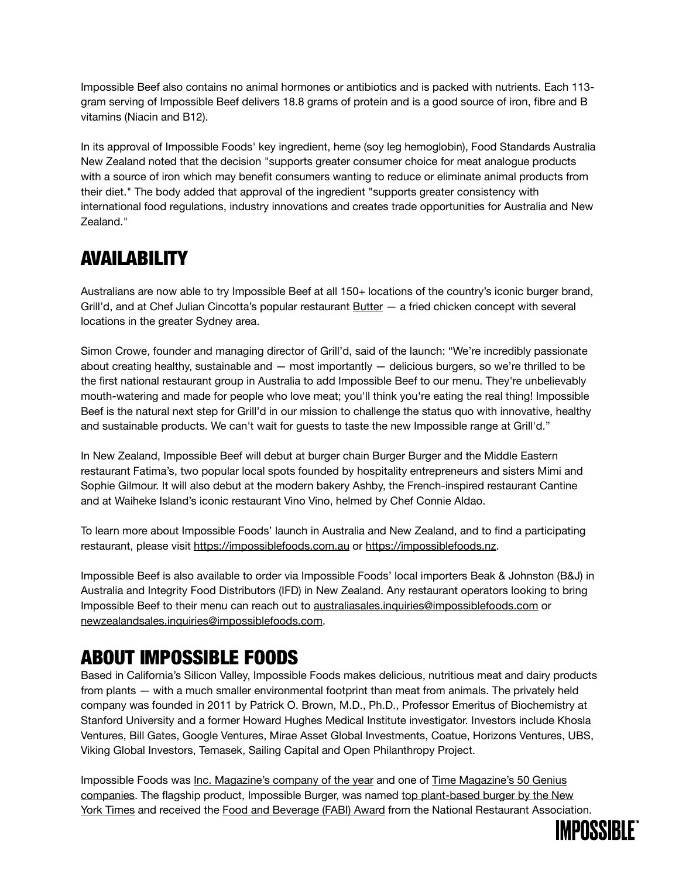Impossible Beef also contains no animal hormones or antibiotics and is packed with nutrients. Each 113 gram serving of Impossible Beef delivers 18.8 grams of protein and is a good source of iron, fibre and B vitamins (Niacin and B12).

In its approval of Impossible Foods' key ingredient, heme (soy leg hemoglobin), Food Standards Australia New Zealand noted that the decision "supports greater consumer choice for meat analogue products with a source of iron which may benefit consumers wanting to reduce or eliminate animal products from their diet." The body added that approval of the ingredient "supports greater consistency with international food regulations, industry innovations and creates trade opportunities for Australia and New Zealand."

### AVAILABILITY

Australians are now able to try Impossible Beef at all 150+ locations of the country's iconic burger brand, Grill'd, and at Chef Julian Cincotta's popular restaurant **Butter** — a fried chicken concept with several locations in the greater Sydney area.

Simon Crowe, founder and managing director of Grill'd, said of the launch: "We're incredibly passionate about creating healthy, sustainable and  $-$  most importantly  $-$  delicious burgers, so we're thrilled to be the first national restaurant group in Australia to add Impossible Beef to our menu. They're unbelievably mouth-watering and made for people who love meat; you'll think you're eating the real thing! Impossible Beef is the natural next step for Grill'd in our mission to challenge the status quo with innovative, healthy and sustainable products. We can't wait for guests to taste the new Impossible range at Grill'd."

In New Zealand, Impossible Beef will debut at burger chain Burger Burger and the Middle Eastern restaurant Fatima's, two popular local spots founded by hospitality entrepreneurs and sisters Mimi and Sophie Gilmour. It will also debut at the modern bakery Ashby, the French-inspired restaurant Cantine and at Waiheke Island's iconic restaurant Vino Vino, helmed by Chef Connie Aldao.

To learn more about Impossible Foods' launch in Australia and New Zealand, and to find a participating restaurant, please visit<https://impossiblefoods.com.au>or <https://impossiblefoods.nz>.

Impossible Beef is also available to order via Impossible Foods' local importers Beak & Johnston (B&J) in Australia and Integrity Food Distributors (IFD) in New Zealand. Any restaurant operators looking to bring Impossible Beef to their menu can reach out to [australiasales.inquiries@impossiblefoods.com](mailto:australiasales.inquiries@impossiblefoods.com) or [newzealandsales.inquiries@impossiblefoods.com](mailto:newzealandsales.inquiries@impossiblefoods.com).

### ABOUT IMPOSSIBLE FOODS

Based in California's Silicon Valley, Impossible Foods makes delicious, nutritious meat and dairy products from plants — with a much smaller environmental footprint than meat from animals. The privately held company was founded in 2011 by Patrick O. Brown, M.D., Ph.D., Professor Emeritus of Biochemistry at Stanford University and a former Howard Hughes Medical Institute investigator. Investors include Khosla Ventures, Bill Gates, Google Ventures, Mirae Asset Global Investments, Coatue, Horizons Ventures, UBS, Viking Global Investors, Temasek, Sailing Capital and Open Philanthropy Project.

Impossible Foods was [Inc. Magazine's company of the year](https://cts.businesswire.com/ct/CT?id=smartlink&url=https://www.inc.com/magazine/202002/burt-helm/impossible-foods-pat-brown-plant-based-burger-vegan-fake-meat-protein-beef.html&esheet=52309445&newsitemid=20201020005479&lan=en-US&anchor=Inc.+Magazine’s+company+of+the+year&index=28&md5=d6293c3c68614e126e24d18663ae425d) and one of [Time Magazine's 50 Genius](https://cts.businesswire.com/ct/CT?id=smartlink&url=https://time.com/collection/genius-companies-2018/5412506/impossible-foods/&esheet=52309445&newsitemid=20201020005479&lan=en-US&anchor=Time+Magazine’s+50+Genius+companies&index=29&md5=216ae874cc530e69a51ed68819a268f5)  [companies.](https://cts.businesswire.com/ct/CT?id=smartlink&url=https://time.com/collection/genius-companies-2018/5412506/impossible-foods/&esheet=52309445&newsitemid=20201020005479&lan=en-US&anchor=Time+Magazine’s+50+Genius+companies&index=29&md5=216ae874cc530e69a51ed68819a268f5) The flagship product, Impossible Burger, was named top plant-based burger by the New [York Times](https://cts.businesswire.com/ct/CT?id=smartlink&url=https://www.nytimes.com/2019/10/22/dining/veggie-burger-taste-test.html?auth=login-google&esheet=52309445&newsitemid=20201020005479&lan=en-US&anchor=top+plant-based+burger+by+the+New+York+Times&index=30&md5=a3286fcd7fabda2438e5b717d63b2c04) and received the [Food and Beverage \(FABI\) Award](https://cts.businesswire.com/ct/CT?id=smartlink&url=https://medium.com/impossible-foods/introducing-impossible-to-the-national-restaurant-association-show-aa748bb48836&esheet=52309445&newsitemid=20201020005479&lan=en-US&anchor=Food+and+Beverage+(FABI)+Award&index=31&md5=e3a29252c210edb477f40770225510f8) from the National Restaurant Association.